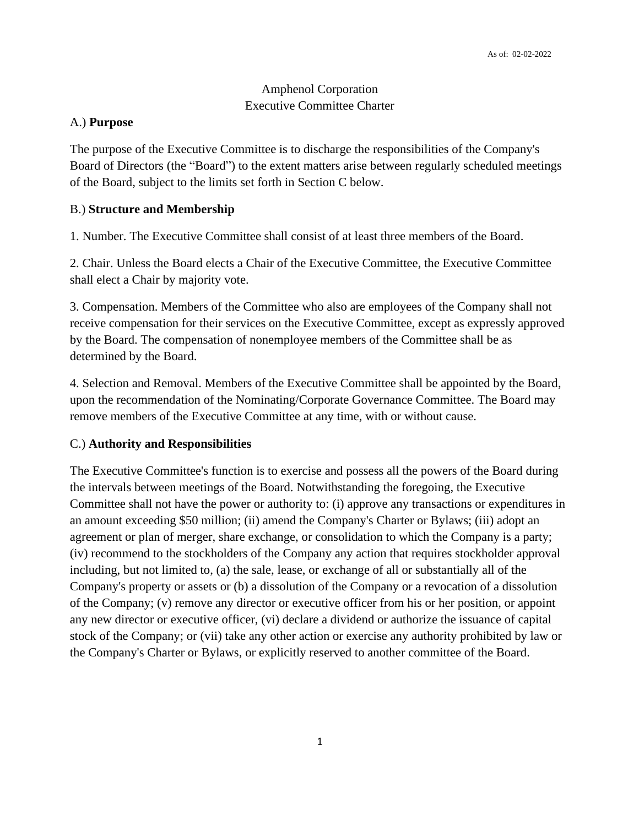# Amphenol Corporation Executive Committee Charter

### A.) **Purpose**

The purpose of the Executive Committee is to discharge the responsibilities of the Company's Board of Directors (the "Board") to the extent matters arise between regularly scheduled meetings of the Board, subject to the limits set forth in Section C below.

### B.) **Structure and Membership**

1. Number. The Executive Committee shall consist of at least three members of the Board.

2. Chair. Unless the Board elects a Chair of the Executive Committee, the Executive Committee shall elect a Chair by majority vote.

3. Compensation. Members of the Committee who also are employees of the Company shall not receive compensation for their services on the Executive Committee, except as expressly approved by the Board. The compensation of nonemployee members of the Committee shall be as determined by the Board.

4. Selection and Removal. Members of the Executive Committee shall be appointed by the Board, upon the recommendation of the Nominating/Corporate Governance Committee. The Board may remove members of the Executive Committee at any time, with or without cause.

### C.) **Authority and Responsibilities**

The Executive Committee's function is to exercise and possess all the powers of the Board during the intervals between meetings of the Board. Notwithstanding the foregoing, the Executive Committee shall not have the power or authority to: (i) approve any transactions or expenditures in an amount exceeding \$50 million; (ii) amend the Company's Charter or Bylaws; (iii) adopt an agreement or plan of merger, share exchange, or consolidation to which the Company is a party; (iv) recommend to the stockholders of the Company any action that requires stockholder approval including, but not limited to, (a) the sale, lease, or exchange of all or substantially all of the Company's property or assets or (b) a dissolution of the Company or a revocation of a dissolution of the Company; (v) remove any director or executive officer from his or her position, or appoint any new director or executive officer, (vi) declare a dividend or authorize the issuance of capital stock of the Company; or (vii) take any other action or exercise any authority prohibited by law or the Company's Charter or Bylaws, or explicitly reserved to another committee of the Board.